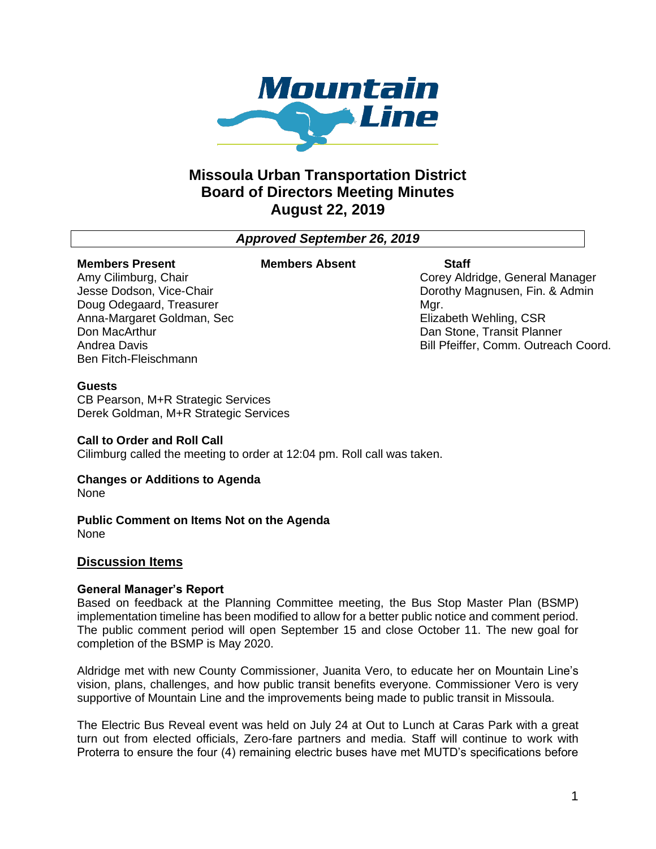

# **Missoula Urban Transportation District Board of Directors Meeting Minutes August 22, 2019**

*Approved September 26, 2019*

#### **Members Present**

#### **Members Absent Staff**

Amy Cilimburg, Chair Jesse Dodson, Vice-Chair Doug Odegaard, Treasurer Anna-Margaret Goldman, Sec Don MacArthur Andrea Davis Ben Fitch-Fleischmann

Corey Aldridge, General Manager Dorothy Magnusen, Fin. & Admin Mar. Elizabeth Wehling, CSR Dan Stone, Transit Planner Bill Pfeiffer, Comm. Outreach Coord.

## **Guests**

CB Pearson, M+R Strategic Services Derek Goldman, M+R Strategic Services

## **Call to Order and Roll Call**

Cilimburg called the meeting to order at 12:04 pm. Roll call was taken.

# **Changes or Additions to Agenda**

None

**Public Comment on Items Not on the Agenda** None

## **Discussion Items**

## **General Manager's Report**

Based on feedback at the Planning Committee meeting, the Bus Stop Master Plan (BSMP) implementation timeline has been modified to allow for a better public notice and comment period. The public comment period will open September 15 and close October 11. The new goal for completion of the BSMP is May 2020.

Aldridge met with new County Commissioner, Juanita Vero, to educate her on Mountain Line's vision, plans, challenges, and how public transit benefits everyone. Commissioner Vero is very supportive of Mountain Line and the improvements being made to public transit in Missoula.

The Electric Bus Reveal event was held on July 24 at Out to Lunch at Caras Park with a great turn out from elected officials, Zero-fare partners and media. Staff will continue to work with Proterra to ensure the four (4) remaining electric buses have met MUTD's specifications before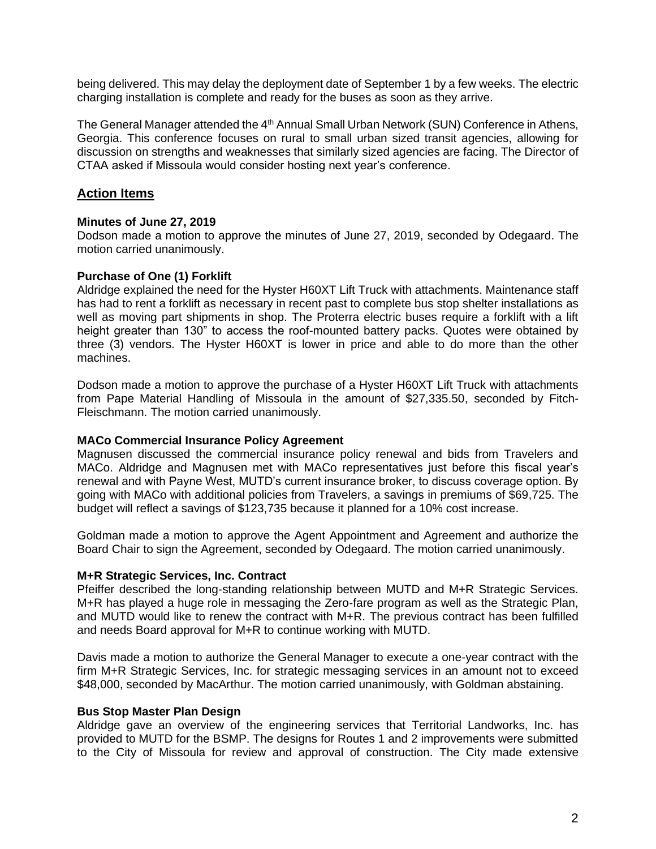being delivered. This may delay the deployment date of September 1 by a few weeks. The electric charging installation is complete and ready for the buses as soon as they arrive.

The General Manager attended the 4<sup>th</sup> Annual Small Urban Network (SUN) Conference in Athens, Georgia. This conference focuses on rural to small urban sized transit agencies, allowing for discussion on strengths and weaknesses that similarly sized agencies are facing. The Director of CTAA asked if Missoula would consider hosting next year's conference.

# **Action Items**

#### **Minutes of June 27, 2019**

Dodson made a motion to approve the minutes of June 27, 2019, seconded by Odegaard. The motion carried unanimously.

#### **Purchase of One (1) Forklift**

Aldridge explained the need for the Hyster H60XT Lift Truck with attachments. Maintenance staff has had to rent a forklift as necessary in recent past to complete bus stop shelter installations as well as moving part shipments in shop. The Proterra electric buses require a forklift with a lift height greater than 130" to access the roof-mounted battery packs. Quotes were obtained by three (3) vendors. The Hyster H60XT is lower in price and able to do more than the other machines.

Dodson made a motion to approve the purchase of a Hyster H60XT Lift Truck with attachments from Pape Material Handling of Missoula in the amount of \$27,335.50, seconded by Fitch-Fleischmann. The motion carried unanimously.

#### **MACo Commercial Insurance Policy Agreement**

Magnusen discussed the commercial insurance policy renewal and bids from Travelers and MACo. Aldridge and Magnusen met with MACo representatives just before this fiscal year's renewal and with Payne West, MUTD's current insurance broker, to discuss coverage option. By going with MACo with additional policies from Travelers, a savings in premiums of \$69,725. The budget will reflect a savings of \$123,735 because it planned for a 10% cost increase.

Goldman made a motion to approve the Agent Appointment and Agreement and authorize the Board Chair to sign the Agreement, seconded by Odegaard. The motion carried unanimously.

#### **M+R Strategic Services, Inc. Contract**

Pfeiffer described the long-standing relationship between MUTD and M+R Strategic Services. M+R has played a huge role in messaging the Zero-fare program as well as the Strategic Plan, and MUTD would like to renew the contract with M+R. The previous contract has been fulfilled and needs Board approval for M+R to continue working with MUTD.

Davis made a motion to authorize the General Manager to execute a one-year contract with the firm M+R Strategic Services, Inc. for strategic messaging services in an amount not to exceed \$48,000, seconded by MacArthur. The motion carried unanimously, with Goldman abstaining.

#### **Bus Stop Master Plan Design**

Aldridge gave an overview of the engineering services that Territorial Landworks, Inc. has provided to MUTD for the BSMP. The designs for Routes 1 and 2 improvements were submitted to the City of Missoula for review and approval of construction. The City made extensive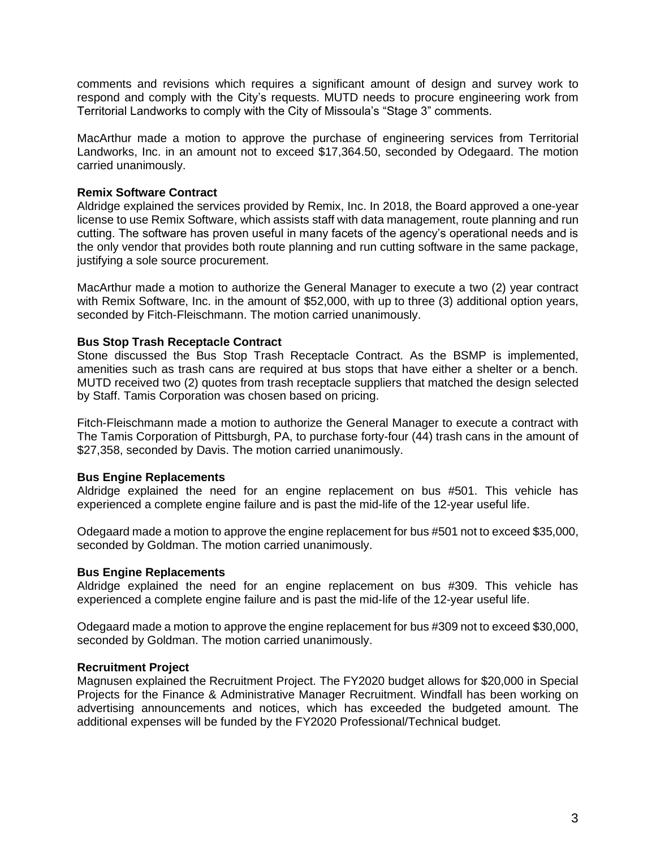comments and revisions which requires a significant amount of design and survey work to respond and comply with the City's requests. MUTD needs to procure engineering work from Territorial Landworks to comply with the City of Missoula's "Stage 3" comments.

MacArthur made a motion to approve the purchase of engineering services from Territorial Landworks, Inc. in an amount not to exceed \$17,364.50, seconded by Odegaard. The motion carried unanimously.

## **Remix Software Contract**

Aldridge explained the services provided by Remix, Inc. In 2018, the Board approved a one-year license to use Remix Software, which assists staff with data management, route planning and run cutting. The software has proven useful in many facets of the agency's operational needs and is the only vendor that provides both route planning and run cutting software in the same package, justifying a sole source procurement.

MacArthur made a motion to authorize the General Manager to execute a two (2) year contract with Remix Software, Inc. in the amount of \$52,000, with up to three (3) additional option years, seconded by Fitch-Fleischmann. The motion carried unanimously.

## **Bus Stop Trash Receptacle Contract**

Stone discussed the Bus Stop Trash Receptacle Contract. As the BSMP is implemented, amenities such as trash cans are required at bus stops that have either a shelter or a bench. MUTD received two (2) quotes from trash receptacle suppliers that matched the design selected by Staff. Tamis Corporation was chosen based on pricing.

Fitch-Fleischmann made a motion to authorize the General Manager to execute a contract with The Tamis Corporation of Pittsburgh, PA, to purchase forty-four (44) trash cans in the amount of \$27,358, seconded by Davis. The motion carried unanimously.

## **Bus Engine Replacements**

Aldridge explained the need for an engine replacement on bus #501. This vehicle has experienced a complete engine failure and is past the mid-life of the 12-year useful life.

Odegaard made a motion to approve the engine replacement for bus #501 not to exceed \$35,000, seconded by Goldman. The motion carried unanimously.

## **Bus Engine Replacements**

Aldridge explained the need for an engine replacement on bus #309. This vehicle has experienced a complete engine failure and is past the mid-life of the 12-year useful life.

Odegaard made a motion to approve the engine replacement for bus #309 not to exceed \$30,000, seconded by Goldman. The motion carried unanimously.

## **Recruitment Project**

Magnusen explained the Recruitment Project. The FY2020 budget allows for \$20,000 in Special Projects for the Finance & Administrative Manager Recruitment. Windfall has been working on advertising announcements and notices, which has exceeded the budgeted amount. The additional expenses will be funded by the FY2020 Professional/Technical budget.